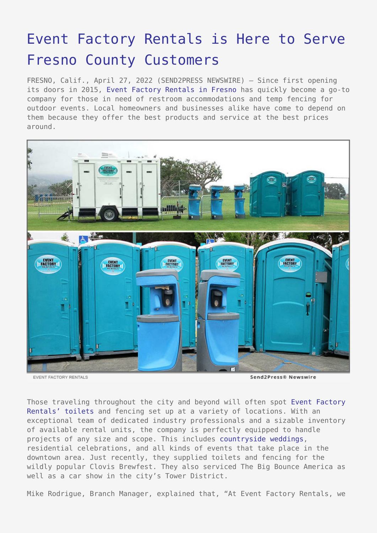## [Event Factory Rentals is Here to Serve](https://www.send2press.com/wire/event-factory-rentals-is-here-to-serve-fresno-county-customers/) [Fresno County Customers](https://www.send2press.com/wire/event-factory-rentals-is-here-to-serve-fresno-county-customers/)

FRESNO, Calif., April 27, 2022 (SEND2PRESS NEWSWIRE) — Since first opening its doors in 2015, [Event Factory Rentals in Fresno](https://www.eventfactoryrentals.com/locations/fresno/) has quickly become a go-to company for those in need of restroom accommodations and temp fencing for outdoor events. Local homeowners and businesses alike have come to depend on them because they offer the best products and service at the best prices around.



EVENT FACTORY RENTALS

Send2Press® Newswire

Those traveling throughout the city and beyond will often spot [Event Factory](https://www.eventfactoryrentals.com/porta-potty-rentals-fresno-county/) [Rentals' toilets](https://www.eventfactoryrentals.com/porta-potty-rentals-fresno-county/) and fencing set up at a variety of locations. With an exceptional team of dedicated industry professionals and a sizable inventory of available rental units, the company is perfectly equipped to handle projects of any size and scope. This includes [countryside weddings,](https://www.eventfactoryrentals.com/wedding-porta-potty-fresno/) residential celebrations, and all kinds of events that take place in the downtown area. Just recently, they supplied toilets and fencing for the wildly popular Clovis Brewfest. They also serviced The Big Bounce America as well as a car show in the city's Tower District.

Mike Rodrigue, Branch Manager, explained that, "At Event Factory Rentals, we